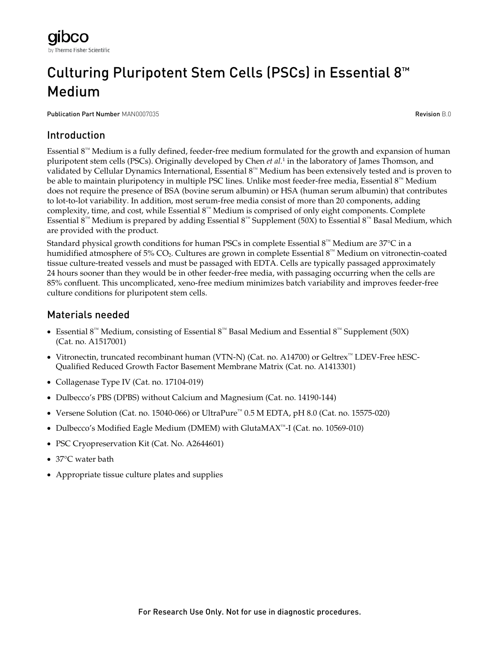# Culturing Pluripotent Stem Cells (PSCs) in Essential 8™ Medium

Publication Part Number MAN0007035 **Revision B.0** and the control of the control of the control of the control of the control of the control of the control of the control of the control of the control of the control of the

# Introduction

Essential 8™ Medium is a fully defined, feeder-free medium formulated for the growth and expansion of human pluripotent stem cells (PSCs). Originally developed by Chen *et al.*<sup>1</sup> in the laboratory of James Thomson, and validated by Cellular Dynamics International, Essential 8™ Medium has been extensively tested and is proven to be able to maintain pluripotency in multiple PSC lines. Unlike most feeder-free media, Essential 8™ Medium does not require the presence of BSA (bovine serum albumin) or HSA (human serum albumin) that contributes to lot-to-lot variability. In addition, most serum-free media consist of more than 20 components, adding complexity, time, and cost, while Essential 8™ Medium is comprised of only eight components. Complete Essential 8<sup>™</sup> Medium is prepared by adding Essential 8<sup>™</sup> Supplement (50X) to Essential 8<sup>™</sup> Basal Medium, which are provided with the product.

Standard physical growth conditions for human PSCs in complete Essential  $8^m$  Medium are 37°C in a humidified atmosphere of 5%  $CO_2$ . Cultures are grown in complete Essential 8™ Medium on vitronectin-coated tissue culture-treated vessels and must be passaged with EDTA. Cells are typically passaged approximately 24 hours sooner than they would be in other feeder-free media, with passaging occurring when the cells are 85% confluent. This uncomplicated, xeno-free medium minimizes batch variability and improves feeder-free culture conditions for pluripotent stem cells.

# Materials needed

- Essential 8™ Medium, consisting of Essential 8™ Basal Medium and Essential 8™ Supplement (50X) (Cat. no. A1517001)
- Vitronectin, truncated recombinant human (VTN-N) (Cat. no. A14700) or Geltrex™ LDEV-Free hESC-Qualified Reduced Growth Factor Basement Membrane Matrix (Cat. no. A1413301)
- Collagenase Type IV (Cat. no. 17104-019)
- Dulbecco's PBS (DPBS) without Calcium and Magnesium (Cat. no. 14190-144)
- Versene Solution (Cat. no. 15040-066) or UltraPure™ 0.5 M EDTA, pH 8.0 (Cat. no. 15575-020)
- Dulbecco's Modified Eagle Medium (DMEM) with GlutaMAX™-I (Cat. no. 10569-010)
- PSC Cryopreservation Kit (Cat. No. A2644601)
- 37°C water bath
- Appropriate tissue culture plates and supplies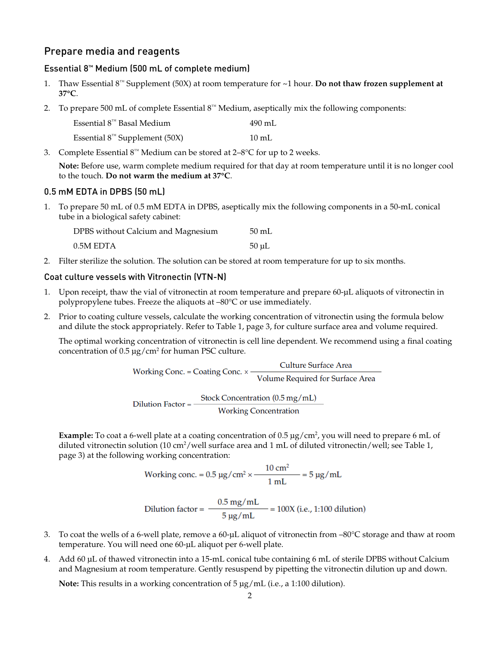### Prepare media and reagents

#### Essential 8™ Medium (500 mL of complete medium)

- 1. Thaw Essential 8™ Supplement (50X) at room temperature for ~1 hour. **Do not thaw frozen supplement at 37°C**.
- 2. To prepare 500 mL of complete Essential  $8^{\text{nd}}$  Medium, aseptically mix the following components:

| Essential $8^m$ Basal Medium              | 490 mL          |
|-------------------------------------------|-----------------|
| Essential $8^{\text{m}}$ Supplement (50X) | $10 \text{ mL}$ |

3. Complete Essential  $8^m$  Medium can be stored at  $2-8^{\circ}$ C for up to 2 weeks.

**Note:** Before use, warm complete medium required for that day at room temperature until it is no longer cool to the touch. **Do not warm the medium at 37°C**.

#### 0.5 mM EDTA in DPBS (50 mL)

1. To prepare 50 mL of 0.5 mM EDTA in DPBS, aseptically mix the following components in a 50-mL conical tube in a biological safety cabinet:

| DPBS without Calcium and Magnesium | $50 \text{ mL}$ |
|------------------------------------|-----------------|
| 0.5M EDTA                          | $50 \mu L$      |

2. Filter sterilize the solution. The solution can be stored at room temperature for up to six months.

#### Coat culture vessels with Vitronectin (VTN-N)

- Upon receipt, thaw the vial of vitronectin at room temperature and prepare 60-µL aliquots of vitronectin in polypropylene tubes. Freeze the aliquots at –80°C or use immediately.
- 2. Prior to coating culture vessels, calculate the working concentration of vitronectin using the formula below and dilute the stock appropriately. Refer to Table 1, page [3,](#page-2-0) for culture surface area and volume required.

The optimal working concentration of vitronectin is cell line dependent. We recommend using a final coating concentration of  $0.5 \mu g/cm^2$  for human PSC culture.

> Culture Surface Area Working Conc. = Coating Conc.  $\times$  -Volume Required for Surface Area  $Dilution Factor = \frac{Stock concentration (0.5 mg/mL)}{Working concentration}$

Example: To coat a 6-well plate at a coating concentration of 0.5  $\mu$ g/cm<sup>2</sup>, you will need to prepare 6 mL of diluted vitronectin solution (10 cm<sup>2</sup>/well surface area and 1 mL of diluted vitronectin/well; see Table 1,

page [3\)](#page-2-1) at the following working concentration:<br>Working conc. =  $0.5 \mu g/cm^2 \times \frac{10 \text{ cm}^2}{1 \text{ mL}} = 5 \mu g/mL$ 

Dilution factor =  $\frac{0.5 \text{ mg/mL}}{5 \text{ µg/mL}}$  = 100X (i.e., 1:100 dilution)

- 3. To coat the wells of a 6-well plate, remove a 60-µL aliquot of vitronectin from –80°C storage and thaw at room temperature. You will need one 60-µL aliquot per 6-well plate.
- 4. Add 60 µL of thawed vitronectin into a 15-mL conical tube containing 6 mL of sterile DPBS without Calcium and Magnesium at room temperature. Gently resuspend by pipetting the vitronectin dilution up and down.

**Note:** This results in a working concentration of 5 µg/mL (i.e., a 1:100 dilution).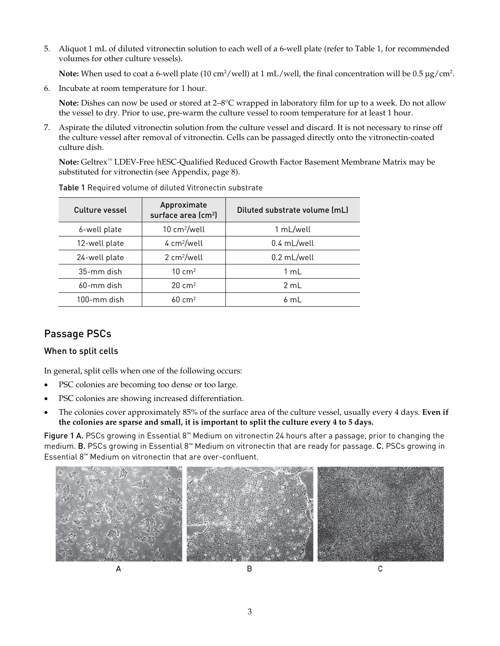5. Aliquot 1 mL of diluted vitronectin solution to each well of a 6-well plate (refer to Table 1, for recommended volumes for other culture vessels).

**Note:** When used to coat a 6-well plate (10 cm<sup>2</sup>/well) at 1 mL/well, the final concentration will be 0.5  $\mu$ g/cm<sup>2</sup>.

6. Incubate at room temperature for 1 hour.

**Note:** Dishes can now be used or stored at 2–8°C wrapped in laboratory film for up to a week. Do not allow the vessel to dry. Prior to use, pre-warm the culture vessel to room temperature for at least 1 hour.

7. Aspirate the diluted vitronectin solution from the culture vessel and discard. It is not necessary to rinse off the culture vessel after removal of vitronectin. Cells can be passaged directly onto the vitronectin-coated culture dish.

**Note:** Geltrex™ LDEV-Free hESC-Qualified Reduced Growth Factor Basement Membrane Matrix may be substituted for vitronectin (see Appendix, page [8\)](#page-6-0).

| Culture vessel | Approximate<br>surface area (cm <sup>2</sup> ) | Diluted substrate volume (mL) |
|----------------|------------------------------------------------|-------------------------------|
| 6-well plate   | $10 \text{ cm}^2/\text{well}$                  | 1 mL/well                     |
| 12-well plate  | $4 \text{ cm}^2/\text{well}$                   | $0.4$ mL/well                 |
| 24-well plate  | 2 cm <sup>2</sup> /well                        | 0.2 mL/well                   |
| 35-mm dish     | $10 \text{ cm}^2$                              | 1 mL                          |
| $60$ -mm dish  | $20 \text{ cm}^2$                              | $2 \text{ ml}$                |
| $100$ -mm dish | $60 \text{ cm}^2$                              | 6 ml                          |

<span id="page-2-1"></span>Table 1 Required volume of diluted Vitronectin substrate

# Passage PSCs

#### When to split cells

In general, split cells when one of the following occurs:

- PSC colonies are becoming too dense or too large.
- PSC colonies are showing increased differentiation.
- The colonies cover approximately 85% of the surface area of the culture vessel, usually every 4 days. **Even if the colonies are sparse and small, it is important to split the culture every 4 to 5 days.**

<span id="page-2-0"></span>Figure 1 A. PSCs growing in Essential 8™ Medium on vitronectin 24 hours after a passage, prior to changing the medium. B. PSCs growing in Essential 8™ Medium on vitronectin that are ready for passage. C. PSCs growing in Essential 8™ Medium on vitronectin that are over-confluent.

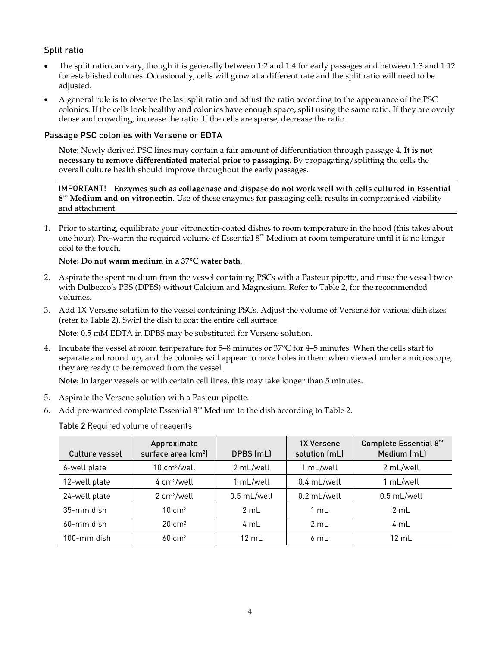#### Split ratio

- The split ratio can vary, though it is generally between 1:2 and 1:4 for early passages and between 1:3 and 1:12 for established cultures. Occasionally, cells will grow at a different rate and the split ratio will need to be adjusted.
- A general rule is to observe the last split ratio and adjust the ratio according to the appearance of the PSC colonies. If the cells look healthy and colonies have enough space, split using the same ratio. If they are overly dense and crowding, increase the ratio. If the cells are sparse, decrease the ratio.

#### Passage PSC colonies with Versene or EDTA

**Note:** Newly derived PSC lines may contain a fair amount of differentiation through passage 4**. It is not necessary to remove differentiated material prior to passaging.** By propagating/splitting the cells the overall culture health should improve throughout the early passages.

IMPORTANT! **Enzymes such as collagenase and dispase do not work well with cells cultured in Essential 8™ Medium and on vitronectin**. Use of these enzymes for passaging cells results in compromised viability and attachment.

1. Prior to starting, equilibrate your vitronectin-coated dishes to room temperature in the hood (this takes about one hour). Pre-warm the required volume of Essential 8™ Medium at room temperature until it is no longer cool to the touch.

#### **Note: Do not warm medium in a 37°C water bath**.

- 2. Aspirate the spent medium from the vessel containing PSCs with a Pasteur pipette, and rinse the vessel twice with Dulbecco's PBS (DPBS) without Calcium and Magnesium. Refer to Table 2, for the recommended volumes.
- 3. Add 1X Versene solution to the vessel containing PSCs. Adjust the volume of Versene for various dish sizes (refer to Table 2). Swirl the dish to coat the entire cell surface.

**Note:** 0.5 mM EDTA in DPBS may be substituted for Versene solution.

4. Incubate the vessel at room temperature for 5–8 minutes or 37°C for 4–5 minutes. When the cells start to separate and round up, and the colonies will appear to have holes in them when viewed under a microscope, they are ready to be removed from the vessel.

**Note:** In larger vessels or with certain cell lines, this may take longer than 5 minutes.

- 5. Aspirate the Versene solution with a Pasteur pipette.
- <span id="page-3-0"></span>6. Add pre-warmed complete Essential  $8™$  Medium to the dish according to Table 2.

Table 2 Required volume of reagents

| Culture vessel | Approximate<br>surface area (cm <sup>2</sup> ) | DPBS (mL)   | <b>1X Versene</b><br>solution (mL) | Complete Essential 8 <sup>™</sup><br>Medium (mL) |
|----------------|------------------------------------------------|-------------|------------------------------------|--------------------------------------------------|
| 6-well plate   | 10 cm <sup>2</sup> /well                       | 2 mL/well   | 1 mL/well                          | 2 mL/well                                        |
| 12-well plate  | 4 cm <sup>2</sup> /well                        | 1 mL/well   | 0.4 mL/well                        | 1 mL/well                                        |
| 24-well plate  | 2 cm <sup>2</sup> /well                        | 0.5 mL/well | 0.2 mL/well                        | 0.5 mL/well                                      |
| 35-mm dish     | $10 \text{ cm}^2$                              | 2 mL        | $1 \text{ mL}$                     | 2 mL                                             |
| 60-mm dish     | $20 \text{ cm}^2$                              | 4 mL        | 2 mL                               | 4 mL                                             |
| 100-mm dish    | $60 \text{ cm}^2$                              | 12 mL       | 6mL                                | 12 mL                                            |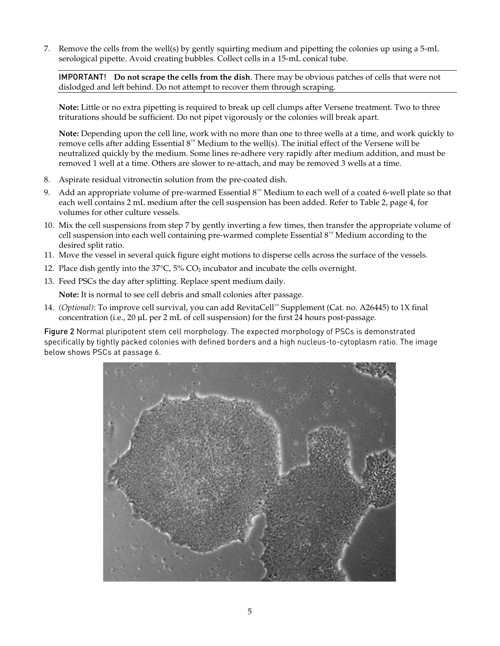7. Remove the cells from the well(s) by gently squirting medium and pipetting the colonies up using a 5-mL serological pipette. Avoid creating bubbles. Collect cells in a 15-mL conical tube.

IMPORTANT! **Do not scrape the cells from the dish**. There may be obvious patches of cells that were not dislodged and left behind. Do not attempt to recover them through scraping.

**Note:** Little or no extra pipetting is required to break up cell clumps after Versene treatment. Two to three triturations should be sufficient. Do not pipet vigorously or the colonies will break apart.

**Note:** Depending upon the cell line, work with no more than one to three wells at a time, and work quickly to remove cells after adding Essential  $8<sup>m</sup>$  Medium to the well(s). The initial effect of the Versene will be neutralized quickly by the medium. Some lines re-adhere very rapidly after medium addition, and must be removed 1 well at a time. Others are slower to re-attach, and may be removed 3 wells at a time.

- 8. Aspirate residual vitronectin solution from the pre-coated dish.
- 9. Add an appropriate volume of pre-warmed Essential 8™ Medium to each well of a coated 6-well plate so that each well contains 2 mL medium after the cell suspension has been added. Refer to Table 2, page [4,](#page-3-0) for volumes for other culture vessels.
- 10. Mix the cell suspensions from step 7 by gently inverting a few times, then transfer the appropriate volume of cell suspension into each well containing pre-warmed complete Essential 8™ Medium according to the desired split ratio.
- 11. Move the vessel in several quick figure eight motions to disperse cells across the surface of the vessels.
- 12. Place dish gently into the  $37^{\circ}$ C,  $5\%$  CO<sub>2</sub> incubator and incubate the cells overnight.
- 13. Feed PSCs the day after splitting. Replace spent medium daily.

**Note:** It is normal to see cell debris and small colonies after passage.

14. *(Optional)*: To improve cell survival, you can add RevitaCell™ Supplement (Cat. no. A26445) to 1X final concentration (i.e., 20 µL per 2 mL of cell suspension) for the first 24 hours post-passage.

Figure 2 Normal pluripotent stem cell morphology. The expected morphology of PSCs is demonstrated specifically by tightly packed colonies with defined borders and a high nucleus-to-cytoplasm ratio. The image below shows PSCs at passage 6.

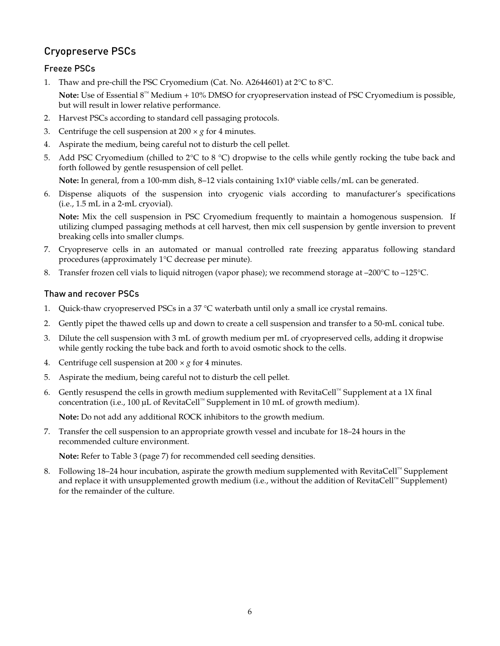# Cryopreserve PSCs

### Freeze PSCs

1. Thaw and pre-chill the PSC Cryomedium (Cat. No. A2644601) at 2°C to 8°C.

**Note:** Use of Essential 8™ Medium + 10% DMSO for cryopreservation instead of PSC Cryomedium is possible, but will result in lower relative performance.

- 2. Harvest PSCs according to standard cell passaging protocols.
- 3. Centrifuge the cell suspension at  $200 \times g$  for 4 minutes.
- 4. Aspirate the medium, being careful not to disturb the cell pellet.
- 5. Add PSC Cryomedium (chilled to  $2^{\circ}C$  to  $8^{\circ}C$ ) dropwise to the cells while gently rocking the tube back and forth followed by gentle resuspension of cell pellet.

**Note:** In general, from a 100-mm dish, 8–12 vials containing  $1 \times 10^6$  viable cells/mL can be generated.

6. Dispense aliquots of the suspension into cryogenic vials according to manufacturer's specifications (i.e., 1.5 mL in a 2-mL cryovial).

**Note:** Mix the cell suspension in PSC Cryomedium frequently to maintain a homogenous suspension. If utilizing clumped passaging methods at cell harvest, then mix cell suspension by gentle inversion to prevent breaking cells into smaller clumps.

- 7. Cryopreserve cells in an automated or manual controlled rate freezing apparatus following standard procedures (approximately 1°C decrease per minute).
- 8. Transfer frozen cell vials to liquid nitrogen (vapor phase); we recommend storage at –200 °C to –125 °C.

#### Thaw and recover PSCs

- 1. Quick-thaw cryopreserved PSCs in a 37 °C waterbath until only a small ice crystal remains.
- 2. Gently pipet the thawed cells up and down to create a cell suspension and transfer to a 50-mL conical tube.
- 3. Dilute the cell suspension with 3 mL of growth medium per mL of cryopreserved cells, adding it dropwise while gently rocking the tube back and forth to avoid osmotic shock to the cells.
- 4. Centrifuge cell suspension at  $200 \times g$  for 4 minutes.
- 5. Aspirate the medium, being careful not to disturb the cell pellet.
- 6. Gently resuspend the cells in growth medium supplemented with RevitaCell™ Supplement at a 1X final concentration (i.e., 100 µL of RevitaCell™ Supplement in 10 mL of growth medium).

**Note:** Do not add any additional ROCK inhibitors to the growth medium.

7. Transfer the cell suspension to an appropriate growth vessel and incubate for 18–24 hours in the recommended culture environment.

**Note:** Refer to Table 3 (page [7\)](#page-6-1) for recommended cell seeding densities.

8. Following 18–24 hour incubation, aspirate the growth medium supplemented with RevitaCell™ Supplement and replace it with unsupplemented growth medium (i.e., without the addition of RevitaCell™ Supplement) for the remainder of the culture.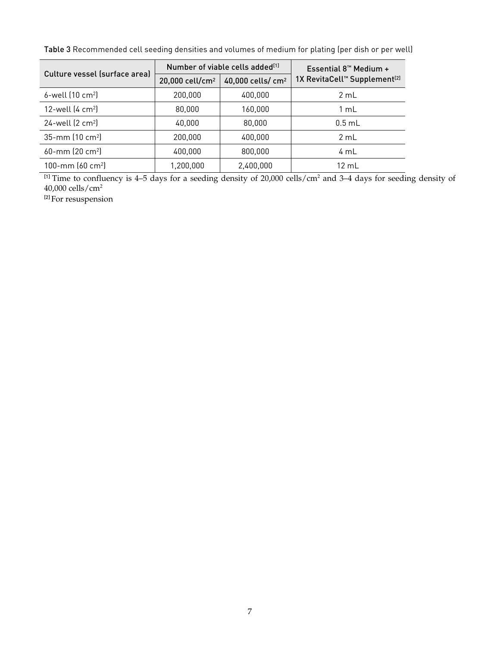|                               | Number of viable cells added <sup>[1]</sup> |                               | Essential $8^{\rm m}$ Medium +                       |  |
|-------------------------------|---------------------------------------------|-------------------------------|------------------------------------------------------|--|
| Culture vessel (surface area) | 20,000 cell/cm <sup>2</sup>                 | 40,000 cells/ cm <sup>2</sup> | 1X RevitaCell <sup>™</sup> Supplement <sup>[2]</sup> |  |
| $6$ -well $(10 \text{ cm}^2)$ | 200,000                                     | 400,000                       | 2 mL                                                 |  |
| 12-well $(4 \text{ cm}^2)$    | 80,000                                      | 160,000                       | 1 mL                                                 |  |
| $24$ -well $(2 \text{ cm}^2)$ | 40,000                                      | 80,000                        | $0.5$ mL                                             |  |
| 35-mm (10 cm <sup>2</sup> )   | 200,000                                     | 400,000                       | 2 mL                                                 |  |
| 60-mm (20 cm <sup>2</sup> )   | 400,000                                     | 800,000                       | 4 mL                                                 |  |
| 100-mm $(60 \text{ cm}^2)$    | 1,200,000                                   | 2,400,000                     | 12 mL                                                |  |

<span id="page-6-1"></span>Table 3 Recommended cell seeding densities and volumes of medium for plating (per dish or per well)

<sup>[1]</sup> Time to confluency is 4–5 days for a seeding density of 20,000 cells/cm<sup>2</sup> and 3–4 days for seeding density of 40,000 cells/cm2

<span id="page-6-0"></span><sup>[2]</sup> For resuspension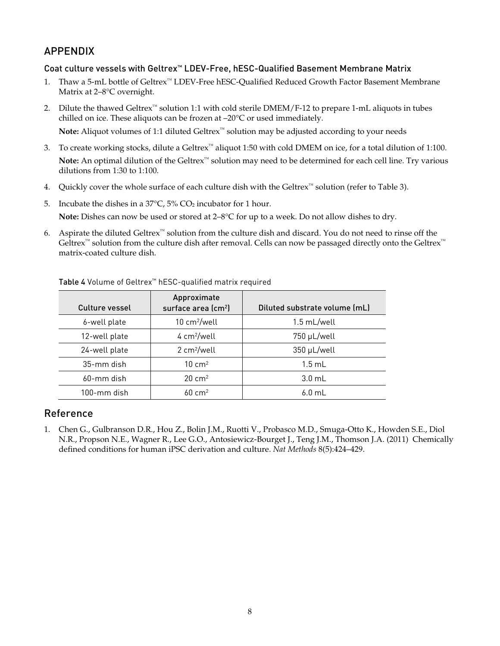### APPENDIX

#### Coat culture vessels with Geltrex™ LDEV-Free, hESC-Qualified Basement Membrane Matrix

- 1. Thaw a 5-mL bottle of Geltrex™ LDEV-Free hESC-Qualified Reduced Growth Factor Basement Membrane Matrix at 2–8°C overnight.
- 2. Dilute the thawed Geltrex™ solution 1:1 with cold sterile DMEM/F-12 to prepare 1-mL aliquots in tubes chilled on ice. These aliquots can be frozen at –20°C or used immediately. Note: Aliquot volumes of 1:1 diluted Geltrex<sup>™</sup> solution may be adjusted according to your needs
- 3. To create working stocks, dilute a Geltrex™ aliquot 1:50 with cold DMEM on ice, for a total dilution of 1:100. **Note:** An optimal dilution of the Geltrex™ solution may need to be determined for each cell line. Try various dilutions from 1:30 to 1:100.
- 4. Quickly cover the whole surface of each culture dish with the Geltrex™ solution (refer to Table 3).
- 5. Incubate the dishes in a  $37^{\circ}$ C,  $5\%$  CO<sub>2</sub> incubator for 1 hour.

**Note:** Dishes can now be used or stored at 2–8°C for up to a week. Do not allow dishes to dry.

6. Aspirate the diluted Geltrex™ solution from the culture dish and discard. You do not need to rinse off the Geltrex™ solution from the culture dish after removal. Cells can now be passaged directly onto the Geltrex™ matrix-coated culture dish.

| Culture vessel | Approximate<br>surface area (cm <sup>2</sup> ) | Diluted substrate volume (mL) |
|----------------|------------------------------------------------|-------------------------------|
| 6-well plate   | $10 \text{ cm}^2/\text{well}$                  | 1.5 mL/well                   |
| 12-well plate  | 4 cm <sup>2</sup> /well                        | 750 µL/well                   |
| 24-well plate  | 2 cm <sup>2</sup> /well                        | 350 µL/well                   |
| 35-mm dish     | $10 \text{ cm}^2$                              | $1.5$ ml                      |
| 60-mm dish     | $20 \text{ cm}^2$                              | $3.0 \text{ mL}$              |
| 100-mm dish    | $60 \text{ cm}^2$                              | $6.0$ mL                      |

Table 4 Volume of Geltrex™ hESC-qualified matrix required

### Reference

1. Chen G., Gulbranson D.R., Hou Z., Bolin J.M., Ruotti V., Probasco M.D., Smuga-Otto K., Howden S.E., Diol N.R., Propson N.E., Wagner R., Lee G.O., Antosiewicz-Bourget J., Teng J.M., Thomson J.A. (2011) Chemically defined conditions for human iPSC derivation and culture. *Nat Methods* 8(5):424–429.